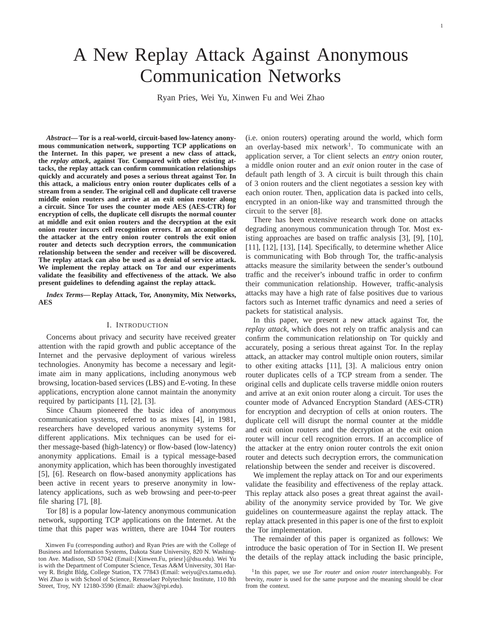# A New Replay Attack Against Anonymous Communication Networks

Ryan Pries, Wei Yu, Xinwen Fu and Wei Zhao

*Abstract***— Tor is a real-world, circuit-based low-latency anonymous communication network, supporting TCP applications on the Internet. In this paper, we present a new class of attack, the** *replay attack***, against Tor. Compared with other existing attacks, the replay attack can confirm communication relationships quickly and accurately and poses a serious threat against Tor. In this attack, a malicious entry onion router duplicates cells of a stream from a sender. The original cell and duplicate cell traverse middle onion routers and arrive at an exit onion router along a circuit. Since Tor uses the counter mode AES (AES-CTR) for encryption of cells, the duplicate cell disrupts the normal counter at middle and exit onion routers and the decryption at the exit onion router incurs cell recognition errors. If an accomplice of the attacker at the entry onion router controls the exit onion router and detects such decryption errors, the communication relationship between the sender and receiver will be discovered. The replay attack can also be used as a denial of service attack. We implement the replay attack on Tor and our experiments validate the feasibility and effectiveness of the attack. We also present guidelines to defending against the replay attack.**

*Index Terms***— Replay Attack, Tor, Anonymity, Mix Networks, AES**

## I. INTRODUCTION

Concerns about privacy and security have received greater attention with the rapid growth and public acceptance of the Internet and the pervasive deployment of various wireless technologies. Anonymity has become a necessary and legitimate aim in many applications, including anonymous web browsing, location-based services (LBS) and E-voting. In these applications, encryption alone cannot maintain the anonymity required by participants [1], [2], [3].

Since Chaum pioneered the basic idea of anonymous communication systems, referred to as mixes [4], in 1981, researchers have developed various anonymity systems for different applications. Mix techniques can be used for either message-based (high-latency) or flow-based (low-latency) anonymity applications. Email is a typical message-based anonymity application, which has been thoroughly investigated [5], [6]. Research on flow-based anonymity applications has been active in recent years to preserve anonymity in lowlatency applications, such as web browsing and peer-to-peer file sharing [7], [8].

Tor [8] is a popular low-latency anonymous communication network, supporting TCP applications on the Internet. At the time that this paper was written, there are 1044 Tor routers (i.e. onion routers) operating around the world, which form an overlay-based mix network<sup>1</sup>. To communicate with an application server, a Tor client selects an *entry* onion router, a middle onion router and an *exit* onion router in the case of default path length of 3. A circuit is built through this chain of 3 onion routers and the client negotiates a session key with each onion router. Then, application data is packed into cells, encrypted in an onion-like way and transmitted through the circuit to the server [8].

There has been extensive research work done on attacks degrading anonymous communication through Tor. Most existing approaches are based on traffic analysis [3], [9], [10], [11], [12], [13], [14]. Specifically, to determine whether Alice is communicating with Bob through Tor, the traffic-analysis attacks measure the similarity between the sender's outbound traffic and the receiver's inbound traffic in order to confirm their communication relationship. However, traffic-analysis attacks may have a high rate of false positives due to various factors such as Internet traffic dynamics and need a series of packets for statistical analysis.

In this paper, we present a new attack against Tor, the *replay attack*, which does not rely on traffic analysis and can confirm the communication relationship on Tor quickly and accurately, posing a serious threat against Tor. In the replay attack, an attacker may control multiple onion routers, similar to other exiting attacks [11], [3]. A malicious entry onion router duplicates cells of a TCP stream from a sender. The original cells and duplicate cells traverse middle onion routers and arrive at an exit onion router along a circuit. Tor uses the counter mode of Advanced Encryption Standard (AES-CTR) for encryption and decryption of cells at onion routers. The duplicate cell will disrupt the normal counter at the middle and exit onion routers and the decryption at the exit onion router will incur cell recognition errors. If an accomplice of the attacker at the entry onion router controls the exit onion router and detects such decryption errors, the communication relationship between the sender and receiver is discovered.

We implement the replay attack on Tor and our experiments validate the feasibility and effectiveness of the replay attack. This replay attack also poses a great threat against the availability of the anonymity service provided by Tor. We give guidelines on countermeasure against the replay attack. The replay attack presented in this paper is one of the first to exploit the Tor implementation.

The remainder of this paper is organized as follows: We introduce the basic operation of Tor in Section II. We present the details of the replay attack including the basic principle,

Xinwen Fu (corresponding author) and Ryan Pries are with the College of Business and Information Systems, Dakota State University, 820 N. Washington Ave. Madison, SD 57042 (Email:{Xinwen.Fu, priesr}@dsu.edu). Wei Yu is with the Department of Computer Science, Texas A&M University, 301 Harvey R. Bright Bldg, College Station, TX 77843 (Email: weiyu@cs.tamu.edu). Wei Zhao is with School of Science, Rensselaer Polytechnic Institute, 110 8th Street, Troy, NY 12180-3590 (Email: zhaow3@rpi.edu).

<sup>&</sup>lt;sup>1</sup>In this paper, we use *Tor router* and *onion router* interchangeably. For brevity, *router* is used for the same purpose and the meaning should be clear from the context.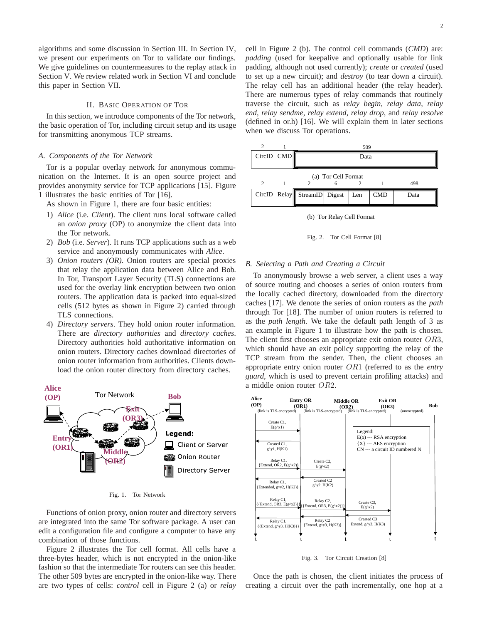algorithms and some discussion in Section III. In Section IV, we present our experiments on Tor to validate our findings. We give guidelines on countermeasures to the replay attack in Section V. We review related work in Section VI and conclude this paper in Section VII.

## II. BASIC OPERATION OF TOR

In this section, we introduce components of the Tor network, the basic operation of Tor, including circuit setup and its usage for transmitting anonymous TCP streams.

## *A. Components of the Tor Network*

Tor is a popular overlay network for anonymous communication on the Internet. It is an open source project and provides anonymity service for TCP applications [15]. Figure 1 illustrates the basic entities of Tor [16].

As shown in Figure 1, there are four basic entities:

- 1) *Alice* (i.e. *Client*). The client runs local software called an *onion proxy* (OP) to anonymize the client data into the Tor network.
- 2) *Bob* (i.e. *Server*). It runs TCP applications such as a web service and anonymously communicates with *Alice*.
- 3) *Onion routers (OR)*. Onion routers are special proxies that relay the application data between Alice and Bob. In Tor, Transport Layer Security (TLS) connections are used for the overlay link encryption between two onion routers. The application data is packed into equal-sized cells (512 bytes as shown in Figure 2) carried through TLS connections.
- 4) *Directory servers*. They hold onion router information. There are *directory authorities* and *directory caches*. Directory authorities hold authoritative information on onion routers. Directory caches download directories of onion router information from authorities. Clients download the onion router directory from directory caches.



Fig. 1. Tor Network

Functions of onion proxy, onion router and directory servers are integrated into the same Tor software package. A user can edit a configuration file and configure a computer to have any combination of those functions.

Figure 2 illustrates the Tor cell format. All cells have a three-bytes header, which is not encrypted in the onion-like fashion so that the intermediate Tor routers can see this header. The other 509 bytes are encrypted in the onion-like way. There are two types of cells: *control* cell in Figure 2 (a) or *relay* cell in Figure 2 (b). The control cell commands (*CMD*) are: *padding* (used for keepalive and optionally usable for link padding, although not used currently); *create* or *created* (used to set up a new circuit); and *destroy* (to tear down a circuit). The relay cell has an additional header (the relay header). There are numerous types of relay commands that routinely traverse the circuit, such as *relay begin*, *relay data*, *relay end*, *relay sendme*, *relay extend*, *relay drop*, and *relay resolve* (defined in or.h) [16]. We will explain them in later sections when we discuss Tor operations.



Fig. 2. Tor Cell Format [8]

## *B. Selecting a Path and Creating a Circuit*

To anonymously browse a web server, a client uses a way of source routing and chooses a series of onion routers from the locally cached directory, downloaded from the directory caches [17]. We denote the series of onion routers as the *path* through Tor [18]. The number of onion routers is referred to as the *path length*. We take the default path length of 3 as an example in Figure 1 to illustrate how the path is chosen. The client first chooses an appropriate exit onion router OR3, which should have an exit policy supporting the relay of the TCP stream from the sender. Then, the client chooses an appropriate entry onion router OR1 (referred to as the *entry guard*, which is used to prevent certain profiling attacks) and a middle onion router OR2.



Fig. 3. Tor Circuit Creation [8]

Once the path is chosen, the client initiates the process of creating a circuit over the path incrementally, one hop at a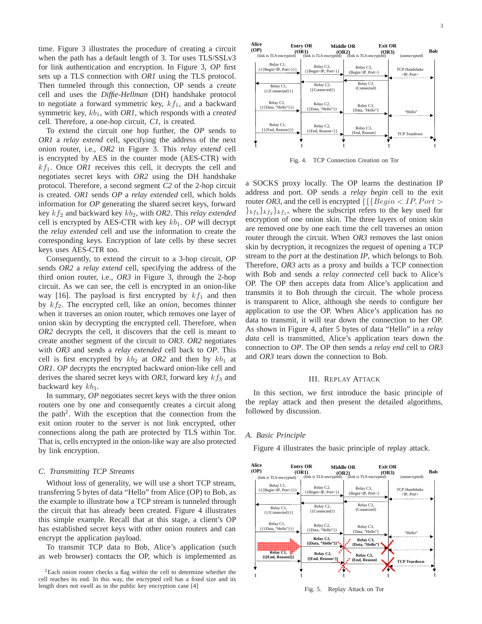time. Figure 3 illustrates the procedure of creating a circuit when the path has a default length of 3. Tor uses TLS/SSLv3 for link authentication and encryption. In Figure 3, *OP* first sets up a TLS connection with *OR1* using the TLS protocol. Then tunneled through this connection, OP sends a *create* cell and uses the *Diffie-Hellman* (DH) handshake protocol to negotiate a forward symmetric key,  $kf_1$ , and a backward symmetric key,  $kb_1$ , with *OR1*, which responds with a *created* cell. Therefore, a one-hop circuit, *C1*, is created.

To extend the circuit one hop further, the *OP* sends to *OR1* a *relay extend* cell, specifying the address of the next onion router, i.e., *OR2* in Figure 3. This *relay extend* cell is encrypted by AES in the counter mode (AES-CTR) with  $kf_1$ . Once *OR1* receives this cell, it decrypts the cell and negotiates secret keys with *OR2* using the DH handshake protocol. Therefore, a second segment *C2* of the 2-hop circuit is created. *OR1* sends *OP* a *relay extended* cell, which holds information for *OP* generating the shared secret keys, forward key kf<sup>2</sup> and backward key kb2, with *OR2*. This *relay extended* cell is encrypted by AES-CTR with key  $kb_1$ . *OP* will decrypt the *relay extended* cell and use the information to create the corresponding keys. Encryption of late cells by these secret keys uses AES-CTR too.

Consequently, to extend the circuit to a 3-hop circuit, *OP* sends *OR2* a *relay extend* cell, specifying the address of the third onion router, i.e., *OR3* in Figure 3, through the 2-hop circuit. As we can see, the cell is encrypted in an onion-like way [16]. The payload is first encrypted by  $kf_1$  and then by kf2. The encrypted cell, like an *onion*, becomes thinner when it traverses an onion router, which removes one layer of onion skin by decrypting the encrypted cell. Therefore, when *OR2* decrypts the cell, it discovers that the cell is meant to create another segment of the circuit to *OR3*. *OR2* negotiates with *OR3* and sends a *relay extended* cell back to *OP*. This cell is first encrypted by  $kb_2$  at *OR2* and then by  $kb_1$  at *OR1*. *OP* decrypts the encrypted backward onion-like cell and derives the shared secret keys with  $OR3$ , forward key  $kf_3$  and backward key  $kb_3$ .

In summary, *OP* negotiates secret keys with the three onion routers one by one and consequently creates a circuit along the path<sup>2</sup>. With the exception that the connection from the exit onion router to the server is not link encrypted, other connections along the path are protected by TLS within Tor. That is, cells encrypted in the onion-like way are also protected by link encryption.

## *C. Transmitting TCP Streams*

Without loss of generality, we will use a short TCP stream, transferring 5 bytes of data "Hello" from Alice (OP) to Bob, as the example to illustrate how a TCP stream is tunneled through the circuit that has already been created. Figure 4 illustrates this simple example. Recall that at this stage, a client's OP has established secret keys with other onion routers and can encrypt the application payload.

To transmit TCP data to Bob, Alice's application (such as web browser) contacts the OP, which is implemented as



Fig. 4. TCP Connection Creation on Tor

a SOCKS proxy locally. The OP learns the destination IP address and port. OP sends a *relay begin* cell to the exit router *OR3*, and the cell is encrypted  $\{\{\}Beqin < IP, Port>\}$  ${k_{f_3}}_{kf_2}$ , where the subscript refers to the key used for encryption of one onion skin. The three layers of onion skin are removed one by one each time the cell traverses an onion router through the circuit. When *OR3* removes the last onion skin by decryption, it recognizes the request of opening a TCP stream to the *port* at the destination *IP*, which belongs to Bob. Therefore, *OR3* acts as a proxy and builds a TCP connection with Bob and sends a *relay connected* cell back to Alice's OP. The OP then accepts data from Alice's application and transmits it to Bob through the circuit. The whole process is transparent to Alice, although she needs to configure her application to use the OP. When Alice's application has no data to transmit, it will tear down the connection to her OP. As shown in Figure 4, after 5 bytes of data "Hello" in a *relay data* cell is transmitted, Alice's application tears down the connection to *OP*. The OP then sends a *relay end* cell to *OR3* and *OR3* tears down the connection to Bob.

#### III. REPLAY ATTACK

In this section, we first introduce the basic principle of the replay attack and then present the detailed algorithms, followed by discussion.

#### *A. Basic Principle*

Figure 4 illustrates the basic principle of replay attack.



Fig. 5. Replay Attack on Tor

<sup>2</sup>Each onion router checks a flag within the cell to determine whether the cell reaches its end. In this way, the encrypted cell has a fixed size and its length does not swell as in the public key encryption case [4]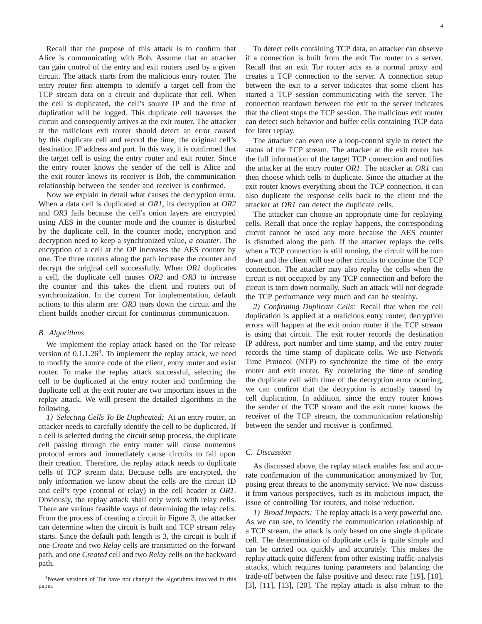Recall that the purpose of this attack is to confirm that Alice is communicating with Bob. Assume that an attacker can gain control of the entry and exit routers used by a given circuit. The attack starts from the malicious entry router. The entry router first attempts to identify a target cell from the TCP stream data on a circuit and duplicate that cell. When the cell is duplicated, the cell's source IP and the time of duplication will be logged. This duplicate cell traverses the circuit and consequently arrives at the exit router. The attacker at the malicious exit router should detect an error caused by this duplicate cell and record the time, the original cell's destination IP address and port. In this way, it is confirmed that the target cell is using the entry router and exit router. Since the entry router knows the sender of the cell is Alice and the exit router knows its receiver is Bob, the communication relationship between the sender and receiver is confirmed.

Now we explain in detail what causes the decryption error. When a data cell is duplicated at *OR1*, its decryption at *OR2* and *OR3* fails because the cell's onion layers are encrypted using AES in the counter mode and the counter is disturbed by the duplicate cell. In the counter mode, encryption and decryption need to keep a synchronized value, *a counter*. The encryption of a cell at the OP increases the AES counter by one. The three routers along the path increase the counter and decrypt the original cell successfully. When *OR1* duplicates a cell, the duplicate cell causes *OR2* and *OR3* to increase the counter and this takes the client and routers out of synchronization. In the current Tor implementation, default actions to this alarm are: *OR3* tears down the circuit and the client builds another circuit for continuous communication.

## *B. Algorithms*

We implement the replay attack based on the Tor release version of  $0.1.1.26<sup>3</sup>$ . To implement the replay attack, we need to modify the source code of the client, entry router and exist router. To make the replay attack successful, selecting the cell to be duplicated at the entry router and confirming the duplicate cell at the exit router are two important issues in the replay attack. We will present the detailed algorithms in the following.

*1) Selecting Cells To Be Duplicated:* At an entry router, an attacker needs to carefully identify the cell to be duplicated. If a cell is selected during the circuit setup process, the duplicate cell passing through the entry router will cause numerous protocol errors and immediately cause circuits to fail upon their creation. Therefore, the replay attack needs to duplicate cells of TCP stream data. Because cells are encrypted, the only information we know about the cells are the circuit ID and cell's type (control or relay) in the cell header at *OR1*. Obviously, the replay attack shall only work with relay cells. There are various feasible ways of determining the relay cells. From the process of creating a circuit in Figure 3, the attacker can determine when the circuit is built and TCP stream relay starts. Since the default path length is 3, the circuit is built if one *Create* and two *Relay* cells are transmitted on the forward path, and one *Created* cell and two *Relay* cells on the backward path.

<sup>3</sup>Newer versions of Tor have not changed the algorithms involved in this paper.

To detect cells containing TCP data, an attacker can observe if a connection is built from the exit Tor router to a server. Recall that an exit Tor router acts as a normal proxy and creates a TCP connection to the server. A connection setup between the exit to a server indicates that some client has started a TCP session communicating with the server. The connection teardown between the exit to the server indicates that the client stops the TCP session. The malicious exit router can detect such behavior and buffer cells containing TCP data for later replay.

The attacker can even use a loop-control style to detect the status of the TCP stream. The attacker at the exit router has the full information of the target TCP connection and notifies the attacker at the entry router *OR1*. The attacker at *OR1* can then choose which cells to duplicate. Since the attacker at the exit router knows everything about the TCP connection, it can also duplicate the response cells back to the client and the attacker at *OR1* can detect the duplicate cells.

The attacker can choose an appropriate time for replaying cells. Recall that once the replay happens, the corresponding circuit cannot be used any more because the AES counter is disturbed along the path. If the attacker replays the cells when a TCP connection is still running, the circuit will be torn down and the client will use other circuits to continue the TCP connection. The attacker may also replay the cells when the circuit is not occupied by any TCP connection and before the circuit is torn down normally. Such an attack will not degrade the TCP performance very much and can be stealthy.

*2) Confirming Duplicate Cells:* Recall that when the cell duplication is applied at a malicious entry router, decryption errors will happen at the exit onion router if the TCP stream is using that circuit. The exit router records the destination IP address, port number and time stamp, and the entry router records the time stamp of duplicate cells. We use Network Time Protocol (NTP) to synchronize the time of the entry router and exit router. By correlating the time of sending the duplicate cell with time of the decryption error ocurring, we can confirm that the decryption is actually caused by cell duplication. In addition, since the entry router knows the sender of the TCP stream and the exit router knows the receiver of the TCP stream, the communication relationship between the sender and receiver is confirmed.

## *C. Discussion*

As discussed above, the replay attack enables fast and accurate confirmation of the communication anonymized by Tor, posing great threats to the anonymity service. We now discuss it from various perspectives, such as its malicious impact, the issue of controlling Tor routers, and noise reduction.

*1) Broad Impacts:* The replay attack is a very powerful one. As we can see, to identify the communication relationship of a TCP stream, the attack is only based on one single duplicate cell. The determination of duplicate cells is quite simple and can be carried out quickly and accurately. This makes the replay attack quite different from other existing traffic-analysis attacks, which requires tuning parameters and balancing the trade-off between the false positive and detect rate [19], [10], [3], [11], [13], [20]. The replay attack is also robust to the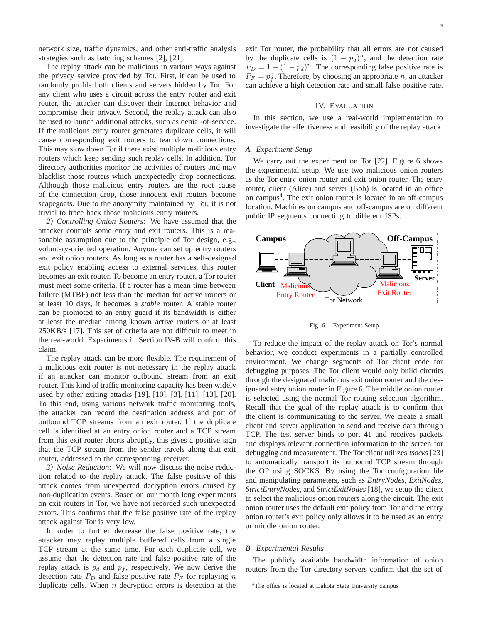network size, traffic dynamics, and other anti-traffic analysis strategies such as batching schemes [2], [21].

The replay attack can be malicious in various ways against the privacy service provided by Tor. First, it can be used to randomly profile both clients and servers hidden by Tor. For any client who uses a circuit across the entry router and exit router, the attacker can discover their Internet behavior and compromise their privacy. Second, the replay attack can also be used to launch additional attacks, such as denial-of-service. If the malicious entry router generates duplicate cells, it will cause corresponding exit routers to tear down connections. This may slow down Tor if there exist multiple malicious entry routers which keep sending such replay cells. In addition, Tor directory authorities monitor the activities of routers and may blacklist those routers which unexpectedly drop connections. Although those malicious entry routers are the root cause of the connection drop, those innocent exit routers become scapegoats. Due to the anonymity maintained by Tor, it is not trivial to trace back those malicious entry routers.

*2) Controlling Onion Routers:* We have assumed that the attacker controls some entry and exit routers. This is a reasonable assumption due to the principle of Tor design, e.g., voluntary-oriented operation. Anyone can set up entry routers and exit onion routers. As long as a router has a self-designed exit policy enabling access to external services, this router becomes an exit router. To become an entry router, a Tor router must meet some criteria. If a router has a mean time between failure (MTBF) not less than the median for active routers or at least 10 days, it becomes a *stable* router. A stable router can be promoted to an entry guard if its bandwidth is either at least the median among known active routers or at least 250KB/s [17]. This set of criteria are not difficult to meet in the real-world. Experiments in Section IV-B will confirm this claim.

The replay attack can be more flexible. The requirement of a malicious exit router is not necessary in the replay attack if an attacker can monitor outbound stream from an exit router. This kind of traffic monitoring capacity has been widely used by other exiting attacks [19], [10], [3], [11], [13], [20]. To this end, using various network traffic monitoring tools, the attacker can record the destination address and port of outbound TCP streams from an exit router. If the duplicate cell is identified at an entry onion router and a TCP stream from this exit router aborts abruptly, this gives a positive sign that the TCP stream from the sender travels along that exit router, addressed to the corresponding receiver.

*3) Noise Reduction:* We will now discuss the noise reduction related to the replay attack. The false positive of this attack comes from unexpected decryption errors caused by non-duplication events. Based on our month long experiments on exit routers in Tor, we have not recorded such unexpected errors. This confirms that the false positive rate of the replay attack against Tor is very low.

In order to further decrease the false positive rate, the attacker may replay multiple buffered cells from a single TCP stream at the same time. For each duplicate cell, we assume that the detection rate and false positive rate of the replay attack is  $p_d$  and  $p_f$ , respectively. We now derive the detection rate  $P_D$  and false positive rate  $P_F$  for replaying n duplicate cells. When  $n$  decryption errors is detection at the

#### IV. EVALUATION

 $P_F = p_f^n$ . Therefore, by choosing an appropriate n, an attacker can achieve a high detection rate and small false positive rate.

In this section, we use a real-world implementation to investigate the effectiveness and feasibility of the replay attack.

### *A. Experiment Setup*

We carry out the experiment on Tor [22]. Figure 6 shows the experimental setup. We use two malicious onion routers as the Tor entry onion router and exit onion router. The entry router, client (Alice) and server (Bob) is located in an office on campus<sup>4</sup>. The exit onion router is located in an off-campus location. Machines on campus and off-campus are on different public IP segments connecting to different ISPs.



Fig. 6. Experiment Setup

To reduce the impact of the replay attack on Tor's normal behavior, we conduct experiments in a partially controlled environment. We change segments of Tor client code for debugging purposes. The Tor client would only build circuits through the designated malicious exit onion router and the designated entry onion router in Figure 6. The middle onion router is selected using the normal Tor routing selection algorithm. Recall that the goal of the replay attack is to confirm that the client is communicating to the server. We create a small client and server application to send and receive data through TCP. The test server binds to port 41 and receives packets and displays relevant connection information to the screen for debugging and measurement. The Tor client utilizes *tsocks* [23] to automatically transport its outbound TCP stream through the OP using SOCKS. By using the Tor configuration file and manipulating parameters, such as *EntryNodes*, *ExitNodes*, *StrictEntryNodes*, and *StrictExitNodes* [18], we setup the client to select the malicious onion routers along the circuit. The exit onion router uses the default exit policy from Tor and the entry onion router's exit policy only allows it to be used as an entry or middle onion router.

#### *B. Experimental Results*

The publicly available bandwidth information of onion routers from the Tor directory servers confirm that the set of

<sup>&</sup>lt;sup>4</sup>The office is located at Dakota State University campus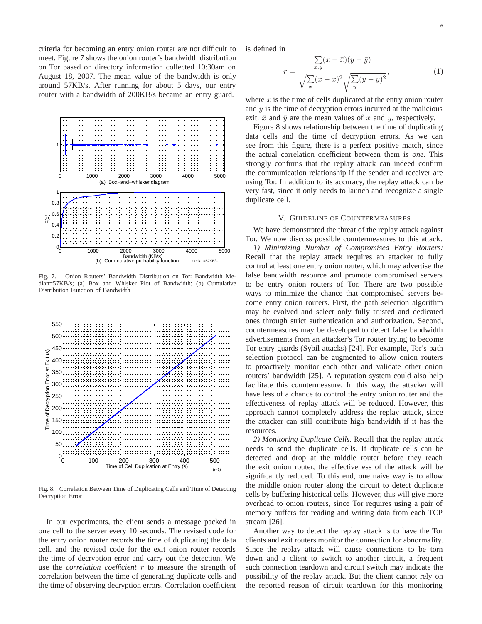criteria for becoming an entry onion router are not difficult to meet. Figure 7 shows the onion router's bandwidth distribution on Tor based on directory information collected 10:30am on August 18, 2007. The mean value of the bandwidth is only around 57KB/s. After running for about 5 days, our entry router with a bandwidth of 200KB/s became an entry guard.



Fig. 7. Onion Routers' Bandwidth Distribution on Tor: Bandwidth Median=57KB/s; (a) Box and Whisker Plot of Bandwidth; (b) Cumulative Distribution Function of Bandwidth



Fig. 8. Correlation Between Time of Duplicating Cells and Time of Detecting Decryption Error

In our experiments, the client sends a message packed in one cell to the server every 10 seconds. The revised code for the entry onion router records the time of duplicating the data cell. and the revised code for the exit onion router records the time of decryption error and carry out the detection. We use the *correlation coefficient* r to measure the strength of correlation between the time of generating duplicate cells and the time of observing decryption errors. Correlation coefficient

is defined in

$$
r = \frac{\sum\limits_{x,y} (x - \bar{x})(y - \bar{y})}{\sqrt{\sum\limits_{x} (x - \bar{x})^2} \sqrt{\sum\limits_{y} (y - \bar{y})^2}},\tag{1}
$$

where  $x$  is the time of cells duplicated at the entry onion router and  $y$  is the time of decryption errors incurred at the malicious exit.  $\bar{x}$  and  $\bar{y}$  are the mean values of x and y, respectively.

Figure 8 shows relationship between the time of duplicating data cells and the time of decryption errors. As we can see from this figure, there is a perfect positive match, since the actual correlation coefficient between them is *one*. This strongly confirms that the replay attack can indeed confirm the communication relationship if the sender and receiver are using Tor. In addition to its accuracy, the replay attack can be very fast, since it only needs to launch and recognize a single duplicate cell.

#### V. GUIDELINE OF COUNTERMEASURES

We have demonstrated the threat of the replay attack against Tor. We now discuss possible countermeasures to this attack.

*1) Minimizing Number of Compromised Entry Routers:* Recall that the replay attack requires an attacker to fully control at least one entry onion router, which may advertise the false bandwidth resource and promote compromised servers to be entry onion routers of Tor. There are two possible ways to minimize the chance that compromised servers become entry onion routers. First, the path selection algorithm may be evolved and select only fully trusted and dedicated ones through strict authentication and authorization. Second, countermeasures may be developed to detect false bandwidth advertisements from an attacker's Tor router trying to become Tor entry guards (Sybil attacks) [24]. For example, Tor's path selection protocol can be augmented to allow onion routers to proactively monitor each other and validate other onion routers' bandwidth [25]. A reputation system could also help facilitate this countermeasure. In this way, the attacker will have less of a chance to control the entry onion router and the effectiveness of replay attack will be reduced. However, this approach cannot completely address the replay attack, since the attacker can still contribute high bandwidth if it has the resources.

*2) Monitoring Duplicate Cells.* Recall that the replay attack needs to send the duplicate cells. If duplicate cells can be detected and drop at the middle router before they reach the exit onion router, the effectiveness of the attack will be significantly reduced. To this end, one naive way is to allow the middle onion router along the circuit to detect duplicate cells by buffering historical cells. However, this will give more overhead to onion routers, since Tor requires using a pair of memory buffers for reading and writing data from each TCP stream [26].

Another way to detect the replay attack is to have the Tor clients and exit routers monitor the connection for abnormality. Since the replay attack will cause connections to be torn down and a client to switch to another circuit, a frequent such connection teardown and circuit switch may indicate the possibility of the replay attack. But the client cannot rely on the reported reason of circuit teardown for this monitoring